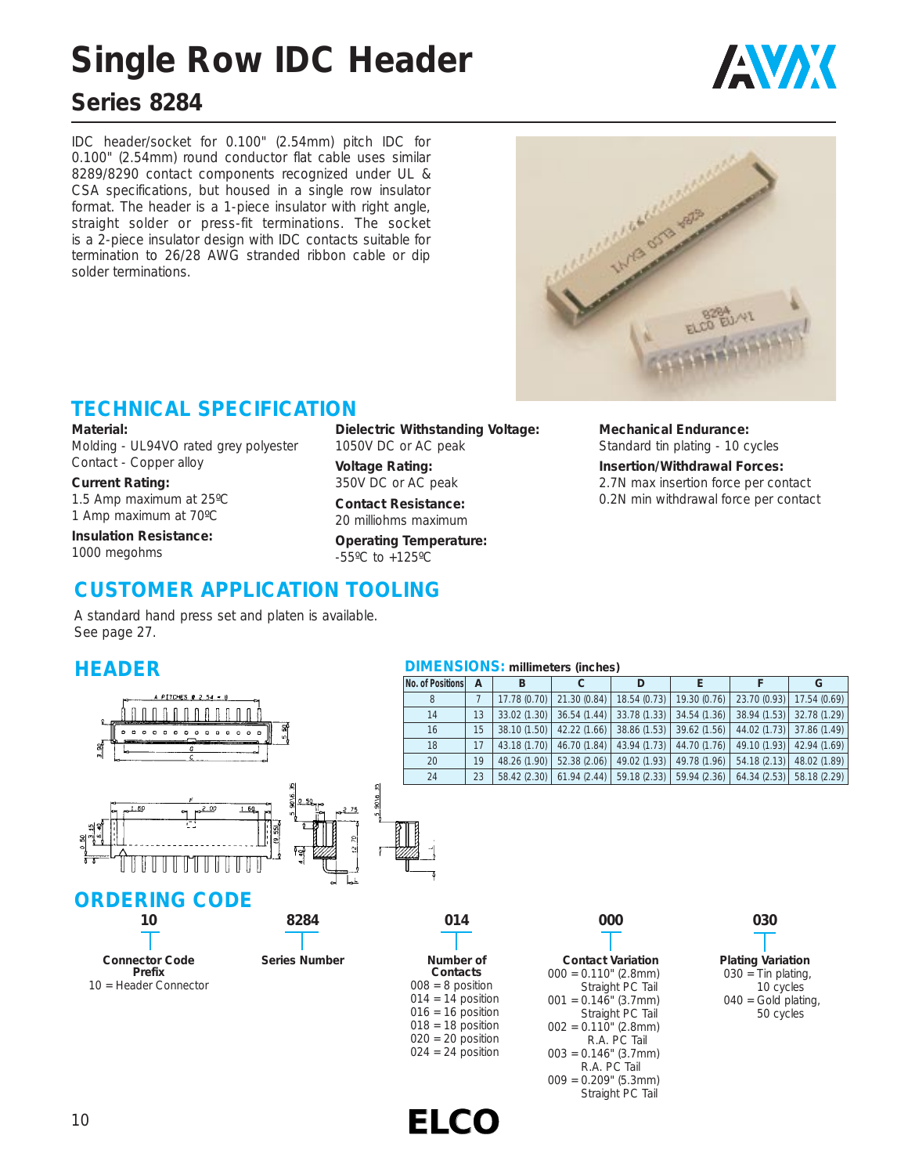# **Single Row IDC Header Series 8284**

IDC header/socket for 0.100" (2.54mm) pitch IDC for 0.100" (2.54mm) round conductor flat cable uses similar 8289/8290 contact components recognized under UL & CSA specifications, but housed in a single row insulator format. The header is a 1-piece insulator with right angle, straight solder or press-fit terminations. The socket is a 2-piece insulator design with IDC contacts suitable for termination to 26/28 AWG stranded ribbon cable or dip solder terminations.

# **TECHNICAL SPECIFICATION**

## **Material:**

Molding - UL94VO rated grey polyester Contact - Copper alloy

## **Current Rating:**

1.5 Amp maximum at 25ºC 1 Amp maximum at 70ºC

**Insulation Resistance:** 1000 megohms

**Dielectric Withstanding Voltage:** 1050V DC or AC peak

**Voltage Rating:** 350V DC or AC peak **Contact Resistance:**

20 milliohms maximum

**Operating Temperature:** -55ºC to +125ºC

## **CUSTOMER APPLICATION TOOLING**

A standard hand press set and platen is available. See page 27.

## **HEADER**



## **DIMENSIONS: millimeters (inches)**

| ритетурногио, пшшкого шонсал |    |   |                             |              |                                                                                         |                                            |                            |
|------------------------------|----|---|-----------------------------|--------------|-----------------------------------------------------------------------------------------|--------------------------------------------|----------------------------|
| No. of Positions A           |    | B |                             |              |                                                                                         |                                            | G                          |
| 8                            |    |   | 17.78 (0.70)   21.30 (0.84) | 18.54(0.73)  |                                                                                         | 19.30 (0.76)   23.70 (0.93)   17.54 (0.69) |                            |
| 14                           | 13 |   |                             |              | 33.02 (1.30) 36.54 (1.44) 33.78 (1.33) 34.54 (1.36) 38.94 (1.53) 32.78 (1.29)           |                                            |                            |
| 16                           | 15 |   |                             |              | 38.10 (1.50)   42.22 (1.66)   38.86 (1.53)   39.62 (1.56)   44.02 (1.73)   37.86 (1.49) |                                            |                            |
| 18                           | 17 |   | 43.18 (1.70) 46.70 (1.84)   | 43.94(1.73)  |                                                                                         | 44.70 (1.76) 49.10 (1.93) 42.94 (1.69)     |                            |
| 20                           | 19 |   | $48.26(1.90)$ 52.38 (2.06)  | 49.02 (1.93) | 49.78 (1.96)                                                                            |                                            | $54.18(2.13)$ 48.02 (1.89) |
| 24                           | 23 |   |                             |              | 58.42 (2.30)   61.94 (2.44)   59.18 (2.33)   59.94 (2.36)   64.34 (2.53)   58.18 (2.29) |                                            |                            |



| <b>Contact Variation</b> |
|--------------------------|
| $000 = 0.110$ " (2.8mm)  |
| Straight PC Tail         |
| $001 = 0.146$ " (3.7mm)  |
| Straight PC Tail         |
| $002 = 0.110$ " (2.8mm)  |

R.A. PC Tail  $003 = 0.146$ " (3.7mm) R.A. PC Tail 009 = 0.209" (5.3mm) Straight PC Tail

**000**





**030**

AVX



**Mechanical Endurance:** Standard tin plating - 10 cycles

**Insertion/Withdrawal Forces:** 2.7N max insertion force per contact 0.2N min withdrawal force per contact